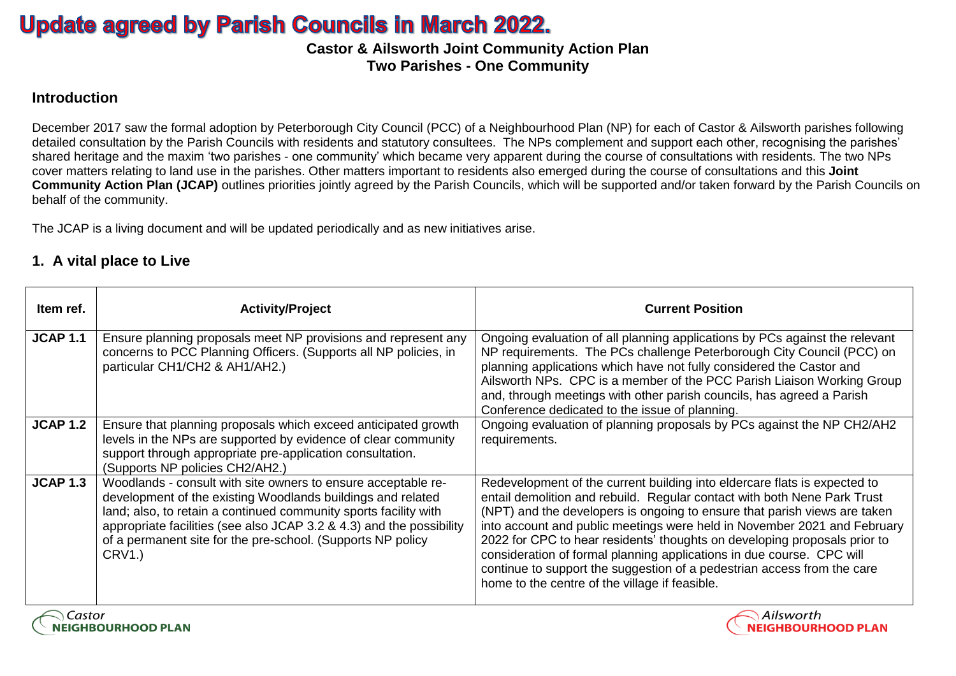# **Update agreed by Parish Councils in March 2022.**

**Castor & Ailsworth Joint Community Action Plan Two Parishes - One Community**

#### **Introduction**

December 2017 saw the formal adoption by Peterborough City Council (PCC) of a Neighbourhood Plan (NP) for each of Castor & Ailsworth parishes following detailed consultation by the Parish Councils with residents and statutory consultees. The NPs complement and support each other, recognising the parishes' shared heritage and the maxim 'two parishes - one community' which became very apparent during the course of consultations with residents. The two NPs cover matters relating to land use in the parishes. Other matters important to residents also emerged during the course of consultations and this **Joint Community Action Plan (JCAP)** outlines priorities jointly agreed by the Parish Councils, which will be supported and/or taken forward by the Parish Councils on behalf of the community.

The JCAP is a living document and will be updated periodically and as new initiatives arise.

#### **1. A vital place to Live**

| Item ref.       | <b>Activity/Project</b>                                                                                                                                                                                                                                                                                                                          | <b>Current Position</b>                                                                                                                                                                                                                                                                                                                                                                                                                                                                                                                                                                           |
|-----------------|--------------------------------------------------------------------------------------------------------------------------------------------------------------------------------------------------------------------------------------------------------------------------------------------------------------------------------------------------|---------------------------------------------------------------------------------------------------------------------------------------------------------------------------------------------------------------------------------------------------------------------------------------------------------------------------------------------------------------------------------------------------------------------------------------------------------------------------------------------------------------------------------------------------------------------------------------------------|
| <b>JCAP 1.1</b> | Ensure planning proposals meet NP provisions and represent any<br>concerns to PCC Planning Officers. (Supports all NP policies, in<br>particular CH1/CH2 & AH1/AH2.)                                                                                                                                                                             | Ongoing evaluation of all planning applications by PCs against the relevant<br>NP requirements. The PCs challenge Peterborough City Council (PCC) on<br>planning applications which have not fully considered the Castor and<br>Ailsworth NPs. CPC is a member of the PCC Parish Liaison Working Group<br>and, through meetings with other parish councils, has agreed a Parish<br>Conference dedicated to the issue of planning.                                                                                                                                                                 |
| <b>JCAP 1.2</b> | Ensure that planning proposals which exceed anticipated growth<br>levels in the NPs are supported by evidence of clear community<br>support through appropriate pre-application consultation.<br>(Supports NP policies CH2/AH2.)                                                                                                                 | Ongoing evaluation of planning proposals by PCs against the NP CH2/AH2<br>requirements.                                                                                                                                                                                                                                                                                                                                                                                                                                                                                                           |
| <b>JCAP 1.3</b> | Woodlands - consult with site owners to ensure acceptable re-<br>development of the existing Woodlands buildings and related<br>land; also, to retain a continued community sports facility with<br>appropriate facilities (see also JCAP 3.2 & 4.3) and the possibility<br>of a permanent site for the pre-school. (Supports NP policy<br>CRV1. | Redevelopment of the current building into eldercare flats is expected to<br>entail demolition and rebuild. Regular contact with both Nene Park Trust<br>(NPT) and the developers is ongoing to ensure that parish views are taken<br>into account and public meetings were held in November 2021 and February<br>2022 for CPC to hear residents' thoughts on developing proposals prior to<br>consideration of formal planning applications in due course. CPC will<br>continue to support the suggestion of a pedestrian access from the care<br>home to the centre of the village if feasible. |

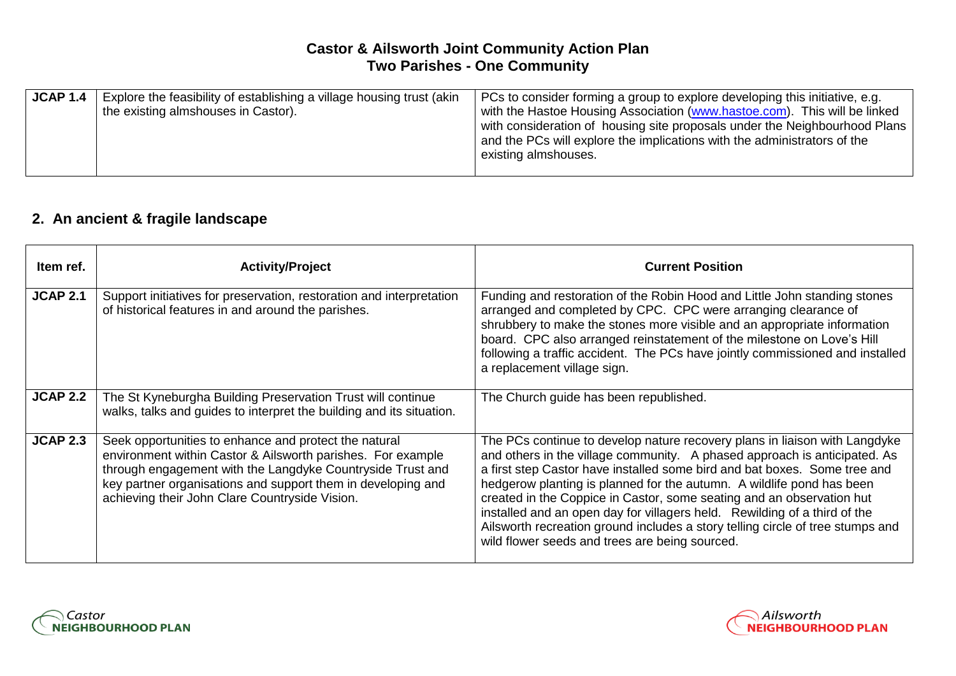## **Castor & Ailsworth Joint Community Action Plan Two Parishes - One Community**

| <b>JCAP 1.4</b> | Explore the feasibility of establishing a village housing trust (akin<br>the existing almshouses in Castor). | PCs to consider forming a group to explore developing this initiative, e.g.<br>with the Hastoe Housing Association (www.hastoe.com). This will be linked<br>with consideration of housing site proposals under the Neighbourhood Plans<br>and the PCs will explore the implications with the administrators of the<br>existing almshouses. |
|-----------------|--------------------------------------------------------------------------------------------------------------|--------------------------------------------------------------------------------------------------------------------------------------------------------------------------------------------------------------------------------------------------------------------------------------------------------------------------------------------|
|-----------------|--------------------------------------------------------------------------------------------------------------|--------------------------------------------------------------------------------------------------------------------------------------------------------------------------------------------------------------------------------------------------------------------------------------------------------------------------------------------|

# **2. An ancient & fragile landscape**

| Item ref.       | <b>Activity/Project</b>                                                                                                                                                                                                                                                                              | <b>Current Position</b>                                                                                                                                                                                                                                                                                                                                                                                                                                                                                                                                                                                 |
|-----------------|------------------------------------------------------------------------------------------------------------------------------------------------------------------------------------------------------------------------------------------------------------------------------------------------------|---------------------------------------------------------------------------------------------------------------------------------------------------------------------------------------------------------------------------------------------------------------------------------------------------------------------------------------------------------------------------------------------------------------------------------------------------------------------------------------------------------------------------------------------------------------------------------------------------------|
| <b>JCAP 2.1</b> | Support initiatives for preservation, restoration and interpretation<br>of historical features in and around the parishes.                                                                                                                                                                           | Funding and restoration of the Robin Hood and Little John standing stones<br>arranged and completed by CPC. CPC were arranging clearance of<br>shrubbery to make the stones more visible and an appropriate information<br>board. CPC also arranged reinstatement of the milestone on Love's Hill<br>following a traffic accident. The PCs have jointly commissioned and installed<br>a replacement village sign.                                                                                                                                                                                       |
| <b>JCAP 2.2</b> | The St Kyneburgha Building Preservation Trust will continue<br>walks, talks and guides to interpret the building and its situation.                                                                                                                                                                  | The Church guide has been republished.                                                                                                                                                                                                                                                                                                                                                                                                                                                                                                                                                                  |
| <b>JCAP 2.3</b> | Seek opportunities to enhance and protect the natural<br>environment within Castor & Ailsworth parishes. For example<br>through engagement with the Langdyke Countryside Trust and<br>key partner organisations and support them in developing and<br>achieving their John Clare Countryside Vision. | The PCs continue to develop nature recovery plans in liaison with Langdyke<br>and others in the village community. A phased approach is anticipated. As<br>a first step Castor have installed some bird and bat boxes. Some tree and<br>hedgerow planting is planned for the autumn. A wildlife pond has been<br>created in the Coppice in Castor, some seating and an observation hut<br>installed and an open day for villagers held. Rewilding of a third of the<br>Ailsworth recreation ground includes a story telling circle of tree stumps and<br>wild flower seeds and trees are being sourced. |



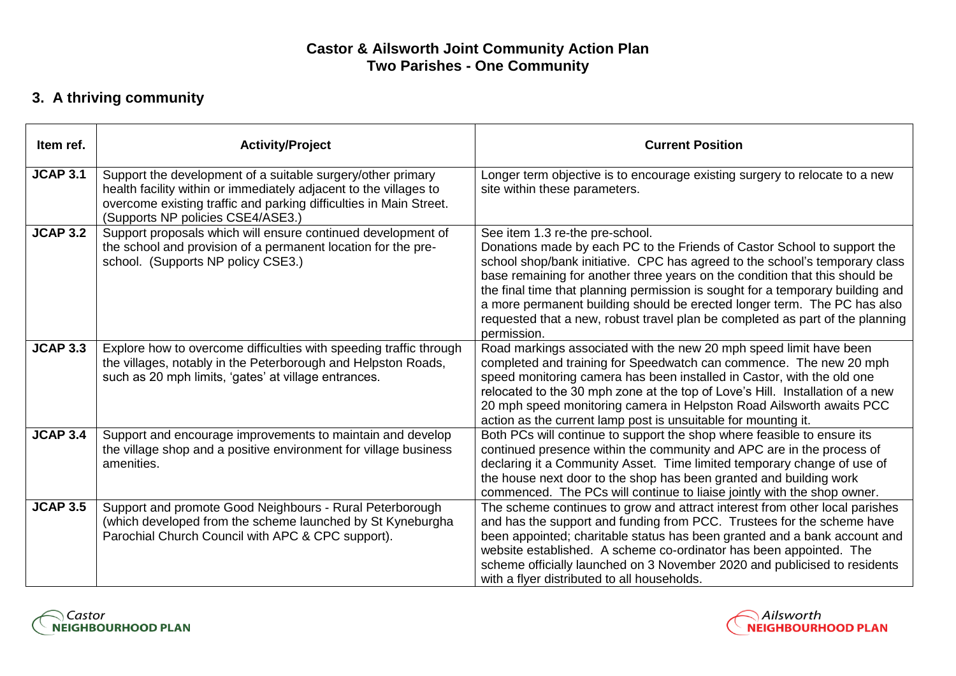## **Castor & Ailsworth Joint Community Action Plan Two Parishes - One Community**

# **3. A thriving community**

| Item ref.       | <b>Activity/Project</b>                                                                                                                                                                                                                     | <b>Current Position</b>                                                                                                                                                                                                                                                                                                                                                                                                                                                                                                                 |
|-----------------|---------------------------------------------------------------------------------------------------------------------------------------------------------------------------------------------------------------------------------------------|-----------------------------------------------------------------------------------------------------------------------------------------------------------------------------------------------------------------------------------------------------------------------------------------------------------------------------------------------------------------------------------------------------------------------------------------------------------------------------------------------------------------------------------------|
| <b>JCAP 3.1</b> | Support the development of a suitable surgery/other primary<br>health facility within or immediately adjacent to the villages to<br>overcome existing traffic and parking difficulties in Main Street.<br>(Supports NP policies CSE4/ASE3.) | Longer term objective is to encourage existing surgery to relocate to a new<br>site within these parameters.                                                                                                                                                                                                                                                                                                                                                                                                                            |
| <b>JCAP 3.2</b> | Support proposals which will ensure continued development of<br>the school and provision of a permanent location for the pre-<br>school. (Supports NP policy CSE3.)                                                                         | See item 1.3 re-the pre-school.<br>Donations made by each PC to the Friends of Castor School to support the<br>school shop/bank initiative. CPC has agreed to the school's temporary class<br>base remaining for another three years on the condition that this should be<br>the final time that planning permission is sought for a temporary building and<br>a more permanent building should be erected longer term. The PC has also<br>requested that a new, robust travel plan be completed as part of the planning<br>permission. |
| <b>JCAP 3.3</b> | Explore how to overcome difficulties with speeding traffic through<br>the villages, notably in the Peterborough and Helpston Roads,<br>such as 20 mph limits, 'gates' at village entrances.                                                 | Road markings associated with the new 20 mph speed limit have been<br>completed and training for Speedwatch can commence. The new 20 mph<br>speed monitoring camera has been installed in Castor, with the old one<br>relocated to the 30 mph zone at the top of Love's Hill. Installation of a new<br>20 mph speed monitoring camera in Helpston Road Ailsworth awaits PCC<br>action as the current lamp post is unsuitable for mounting it.                                                                                           |
| <b>JCAP 3.4</b> | Support and encourage improvements to maintain and develop<br>the village shop and a positive environment for village business<br>amenities.                                                                                                | Both PCs will continue to support the shop where feasible to ensure its<br>continued presence within the community and APC are in the process of<br>declaring it a Community Asset. Time limited temporary change of use of<br>the house next door to the shop has been granted and building work<br>commenced. The PCs will continue to liaise jointly with the shop owner.                                                                                                                                                            |
| <b>JCAP 3.5</b> | Support and promote Good Neighbours - Rural Peterborough<br>(which developed from the scheme launched by St Kyneburgha<br>Parochial Church Council with APC & CPC support).                                                                 | The scheme continues to grow and attract interest from other local parishes<br>and has the support and funding from PCC. Trustees for the scheme have<br>been appointed; charitable status has been granted and a bank account and<br>website established. A scheme co-ordinator has been appointed. The<br>scheme officially launched on 3 November 2020 and publicised to residents<br>with a flyer distributed to all households.                                                                                                    |